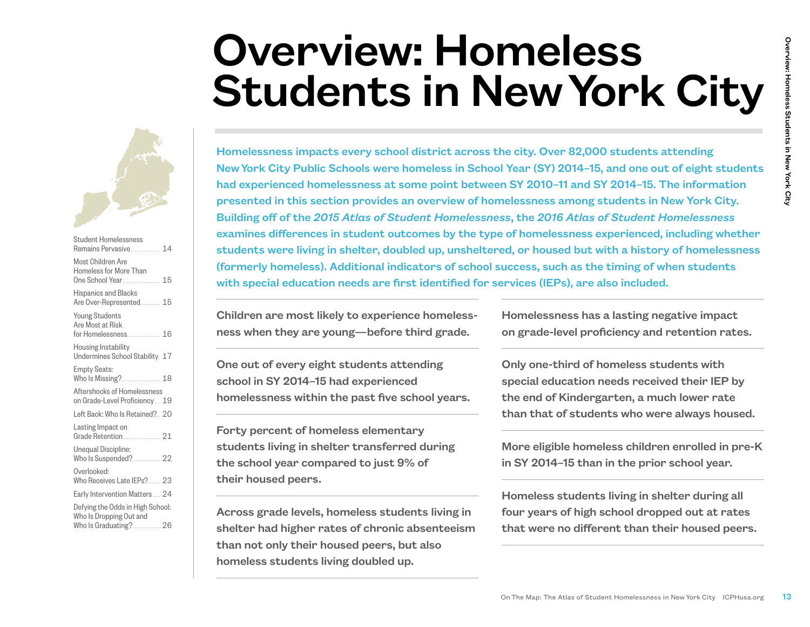# Overview: Homeless Students in New York City



| <b>Student Homelessness</b><br>Remains Pervasive 14                |
|--------------------------------------------------------------------|
| Most Children Are<br>Homeless for More Than<br>One School Year  15 |
| <b>Hispanics and Blacks</b><br>Are Over-Represented 15             |
| <b>Young Students</b><br>Are Most at Risk<br>for Homelessness 16   |
| Housing Instability<br>Undermines School Stability. 17             |
| <b>Empty Seats:</b><br>Who Is Missing? 18                          |
| Aftershocks of Homelessness<br>on Grade-Level Proficiency 19       |
| Left Back: Who Is Retained? 20                                     |
| Lasting Impact on                                                  |
| Unequal Discipline:<br>Who Is Suspended? 22                        |
| Overlooked:<br>Who Receives Late IEPs? 23                          |
| Early Intervention Matters  24                                     |
| Defying the Odds in High School:<br>Who Is Dropping Out and        |
| Who Is Graduating? 26                                              |

**CON THE MAP:** The Atlas of Student Homelessness in New York City ICPHusa.org 13Over The Map: The Atlas of Student Homelessness approximately and the City ICPHUS of Student Homelessness approximately of the City ICPHUS of Homelessness impacts every school district across the city. Over 82,000 students attending New York City Public Schools were homeless in School Year (SY) 2014–15, and one out of eight students had experienced homelessness at some point between SY 2010–11 and SY 2014–15. The information presented in this section provides an overview of homelessness among students in New York City. Building off of the *2015 Atlas of Student Homelessness*, the *2016 Atlas of Student Homelessness* examines differences in student outcomes by the type of homelessness experienced, including whether students were living in shelter, doubled up, unsheltered, or housed but with a history of homelessness (formerly homeless). Additional indicators of school success, such as the timing of when students with special education needs are first identified for services (IEPs), are also included.

Children are most likely to experience homelessness when they are young—before third grade.

One out of every eight students attending school in SY 2014–15 had experienced homelessness within the past five school years.

Forty percent of homeless elementary students living in shelter transferred during the school year compared to just 9% of their housed peers.

Across grade levels, homeless students living in shelter had higher rates of chronic absenteeism than not only their housed peers, but also homeless students living doubled up.

Homelessness has a lasting negative impact on grade-level proficiency and retention rates.

Only one-third of homeless students with special education needs received their IEP by the end of Kindergarten, a much lower rate than that of students who were always housed.

More eligible homeless children enrolled in pre-K in SY 2014–15 than in the prior school year.

Homeless students living in shelter during all four years of high school dropped out at rates that were no different than their housed peers.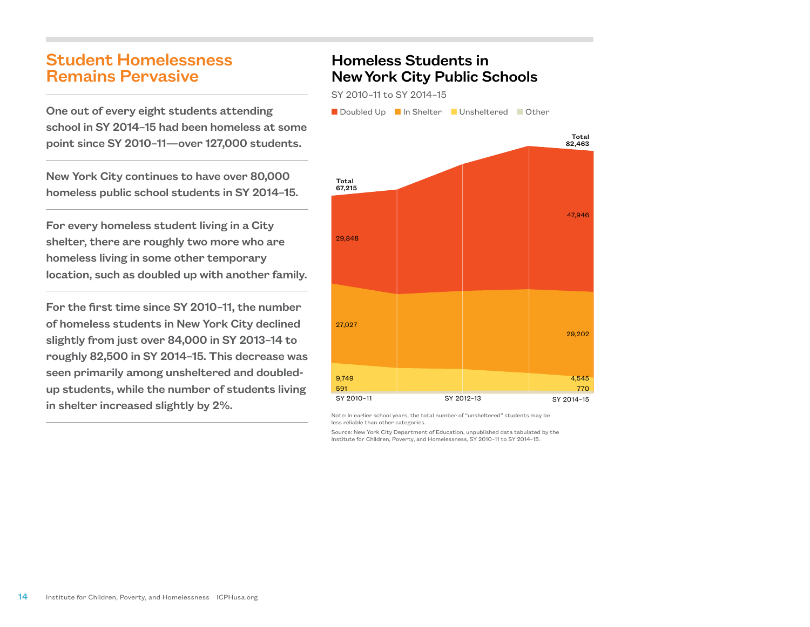# Student Homelessness Remains Pervasive

One out of every eight students attending school in SY 2014–15 had been homeless at some point since SY 2010–11—over 127,000 students.

New York City continues to have over 80,000 homeless public school students in SY 2014–15.

For every homeless student living in a City shelter, there are roughly two more who are homeless living in some other temporary location, such as doubled up with another family.

For the first time since SY 2010–11, the number of homeless students in New York City declined slightly from just over 84,000 in SY 2013–14 to roughly 82,500 in SY 2014–15. This decrease was seen primarily among unsheltered and doubledup students, while the number of students living in shelter increased slightly by 2%.

# Homeless Students in New York City Public Schools

SY 2010–11 to SY 2014–15

■ Doubled Up ■ In Shelter ■ Unsheltered ■ Other



Note: In earlier school years, the total number of "unsheltered" students may be less reliable than other categories.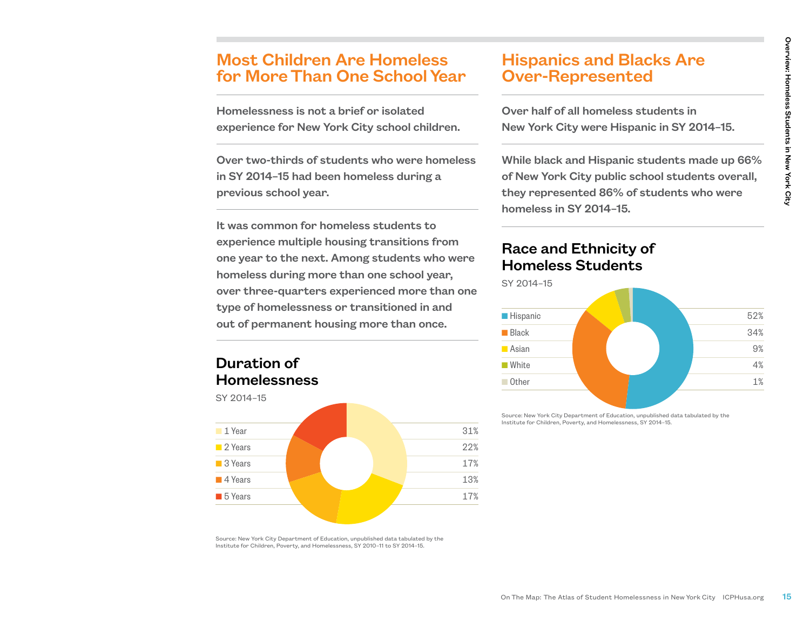# Most Children Are Homeless for More Than One School Year

Homelessness is not a brief or isolated experience for New York City school children.

Over two-thirds of students who were homeless in SY 2014–15 had been homeless during a previous school year.

It was common for homeless students to experience multiple housing transitions from one year to the next. Among students who were homeless during more than one school year, over three-quarters experienced more than one type of homelessness or transitioned in and out of permanent housing more than once.

### Duration of Homelessness



# Hispanics and Blacks Are Over-Represented

Over half of all homeless students in New York City were Hispanic in SY 2014–15.

While black and Hispanic students made up 66% of New York City public school students overall, they represented 86% of students who were homeless in SY 2014–15.

### Race and Ethnicity of Homeless Students



Source: New York City Department of Education, unpublished data tabulated by the Institute for Children, Poverty, and Homelessness, SY 2010–11 to SY 2014–15.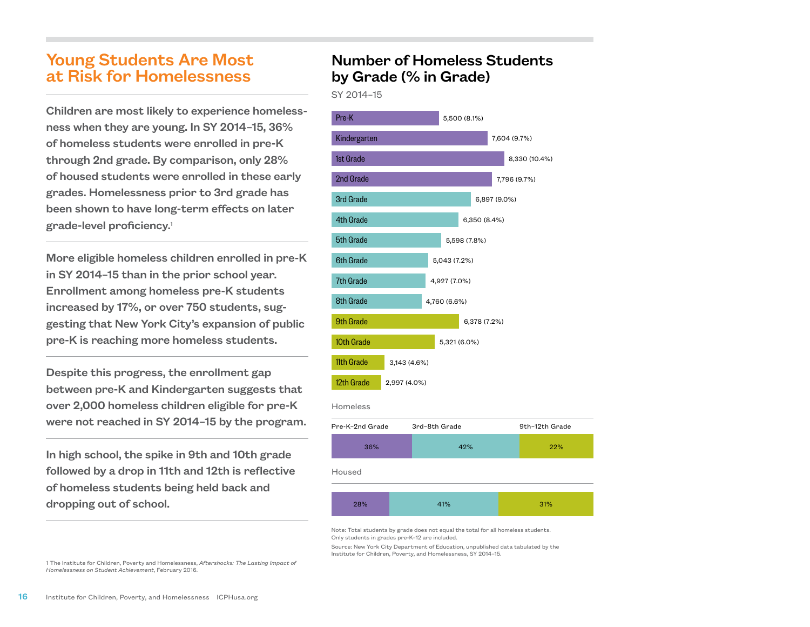# Young Students Are Most at Risk for Homelessness

Children are most likely to experience homelessness when they are young. In SY 2014–15, 36% of homeless students were enrolled in pre-K through 2nd grade. By comparison, only 28% of housed students were enrolled in these early grades. Homelessness prior to 3rd grade has been shown to have long-term effects on later grade-level proficiency.1

More eligible homeless children enrolled in pre-K in SY 2014–15 than in the prior school year. Enrollment among homeless pre-K students increased by 17%, or over 750 students, suggesting that New York City's expansion of public pre-K is reaching more homeless students.

Despite this progress, the enrollment gap between pre-K and Kindergarten suggests that over 2,000 homeless children eligible for pre-K were not reached in SY 2014–15 by the program.

In high school, the spike in 9th and 10th grade followed by a drop in 11th and 12th is reflective of homeless students being held back and dropping out of school.

### Number of Homeless Students by Grade (% in Grade)

SY 2014–15



Note: Total students by grade does not equal the total for all homeless students. Only students in grades pre-K–12 are included.

Source: New York City Department of Education, unpublished data tabulated by the Institute for Children, Poverty, and Homelessness, SY 2014–15.

1 The Institute for Children, Poverty and Homelessness, *Aftershocks: The Lasting Impact of Homelessness on Student Achievement*, February 2016.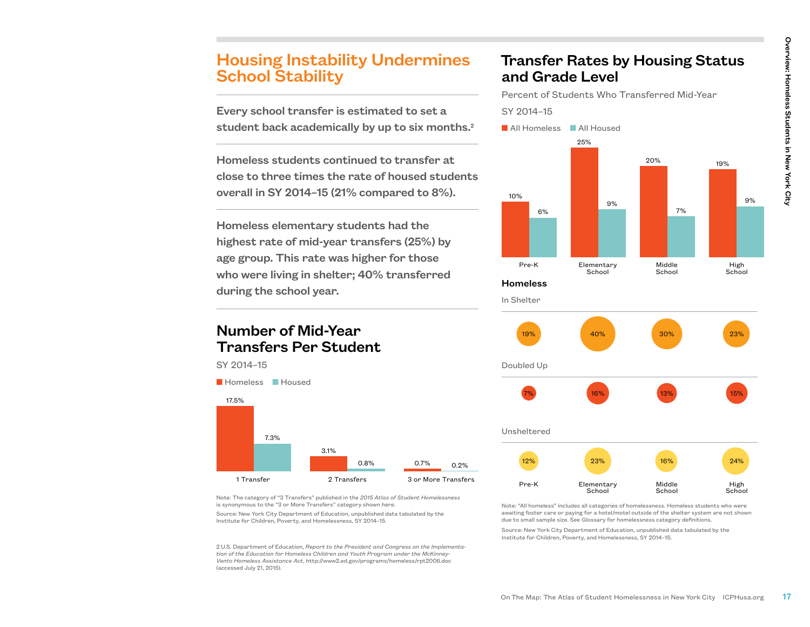# Housing Instability Undermines School Stability

Every school transfer is estimated to set a student back academically by up to six months.2

Homeless students continued to transfer at close to three times the rate of housed students overall in SY 2014–15 (21% compared to 8%).

Homeless elementary students had the highest rate of mid-year transfers (25%) by age group. This rate was higher for those who were living in shelter; 40% transferred during the school year.

### Number of Mid-Year Transfers Per Student

SY 2014–15



# Transfer Rates by Housing Status and Grade Level

Percent of Students Who Transferred Mid-Year SY 2014–15





Note: The category of "3 Transfers" published in the *2015 Atlas of Student Homelessness*  is synonymous to the "3 or More Transfers" category shown here.

Source: New York City Department of Education, unpublished data tabulated by the Institute for Children, Poverty, and Homelessness, SY 2014–15.

2 U.S. Department of Education, *Report to the President and Congress on the Implementation of the Education for Homeless Children and Youth Program under the McKinney-Vento Homeless Assistance Act*, http://www2.ed.gov/programs/homeless/rpt2006.doc (accessed July 21, 2015).

Note: "All homeless" includes all categories of homelessness. Homeless students who were awaiting foster care or paying for a hotel/motel outside of the shelter system are not shown due to small sample size. See Glossary for homelessness category definitions.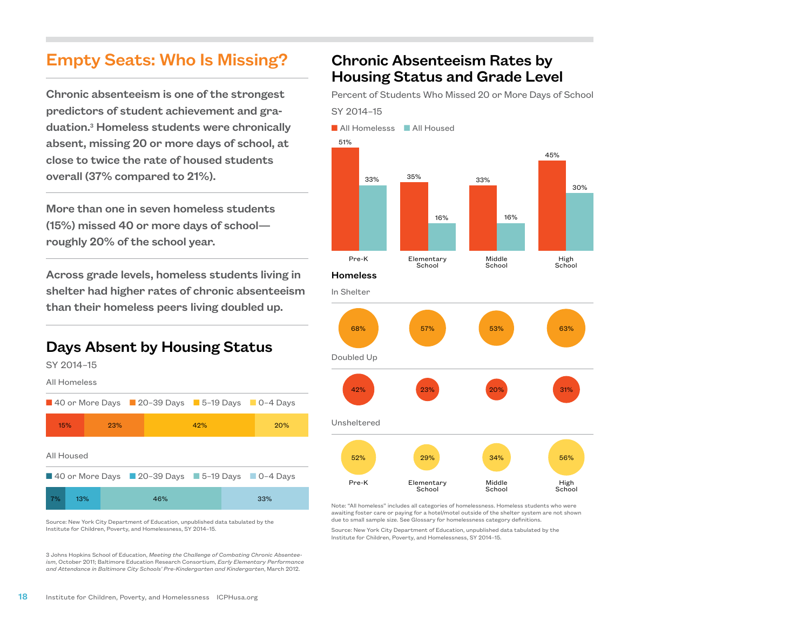# Empty Seats: Who Is Missing?

Chronic absenteeism is one of the strongest predictors of student achievement and graduation.3 Homeless students were chronically absent, missing 20 or more days of school, at close to twice the rate of housed students overall (37% compared to 21%).

More than one in seven homeless students (15%) missed 40 or more days of school roughly 20% of the school year.

Across grade levels, homeless students living in shelter had higher rates of chronic absenteeism than their homeless peers living doubled up.

# Days Absent by Housing Status

SY 2014–15 All Homeless

■ 40 or More Days ■ 20-39 Days ■ 5-19 Days ■ 0-4 Days All Housed  $\blacksquare$  40 or More Days  $\blacksquare$  20–39 Days  $\blacksquare$  5–19 Days  $\blacksquare$  0–4 Days 20% 33% 42% 46% 23% 13% 15% 7%

Source: New York City Department of Education, unpublished data tabulated by the Institute for Children, Poverty, and Homelessness, SY 2014–15.

3 Johns Hopkins School of Education, *Meeting the Challenge of Combating Chronic Absenteeism*, October 2011; Baltimore Education Research Consortium, *Early Elementary Performance and Attendance in Baltimore City Schools' Pre-Kindergarten and Kindergarten*, March 2012.

# Chronic Absenteeism Rates by Housing Status and Grade Level

Percent of Students Who Missed 20 or More Days of School SY 2014–15

**N** All Homelesss **N** All Housed









Note: "All homeless" includes all categories of homelessness. Homeless students who were awaiting foster care or paying for a hotel/motel outside of the shelter system are not shown due to small sample size. See Glossary for homelessness category definitions.

School

School

Source: New York City Department of Education, unpublished data tabulated by the Institute for Children, Poverty, and Homelessness, SY 2014–15.

School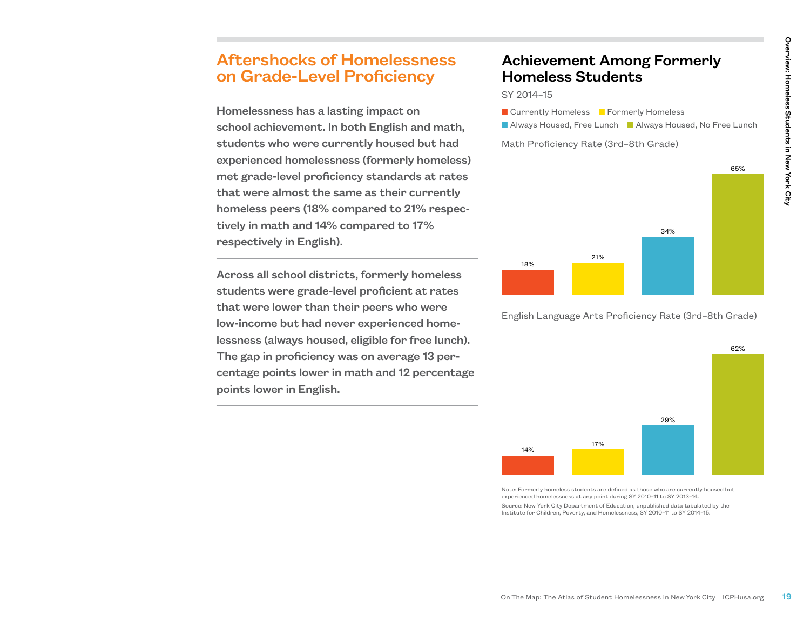# Aftershocks of Homelessness on Grade-Level Proficiency

Homelessness has a lasting impact on school achievement. In both English and math, students who were currently housed but had experienced homelessness (formerly homeless) met grade-level proficiency standards at rates that were almost the same as their currently homeless peers (18% compared to 21% respectively in math and 14% compared to 17% respectively in English).

Across all school districts, formerly homeless students were grade-level proficient at rates that were lower than their peers who were low-income but had never experienced homelessness (always housed, eligible for free lunch). The gap in proficiency was on average 13 percentage points lower in math and 12 percentage points lower in English.

# Achievement Among Formerly Homeless Students

SY 2014–15

- **n** Currently Homeless **n** Formerly Homeless
- Always Housed, Free Lunch Always Housed, No Free Lunch

#### Math Proficiency Rate (3rd–8th Grade)



English Language Arts Proficiency Rate (3rd–8th Grade)



Note: Formerly homeless students are defined as those who are currently housed but experienced homelessness at any point during SY 2010–11 to SY 2013–14. Source: New York City Department of Education, unpublished data tabulated by the Institute for Children, Poverty, and Homelessness, SY 2010–11 to SY 2014–15.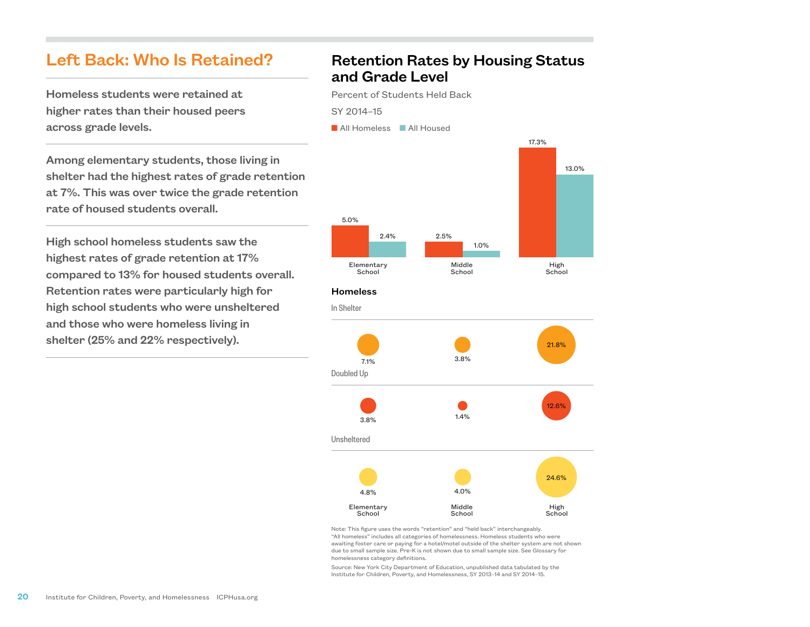### Left Back: Who Is Retained?

Homeless students were retained at higher rates than their housed peers across grade levels.

Among elementary students, those living in shelter had the highest rates of grade retention at 7%. This was over twice the grade retention rate of housed students overall.

High school homeless students saw the highest rates of grade retention at 17% compared to 13% for housed students overall. Retention rates were particularly high for high school students who were unsheltered and those who were homeless living in shelter (25% and 22% respectively).

### Retention Rates by Housing Status and Grade Level

Percent of Students Held Back SY 2014–15

**N** All Homeless **N** All Housed



#### **Homeless**

School





Note: This figure uses the words "retention" and "held back" interchangeably. "All homeless" includes all categories of homelessness. Homeless students who were awaiting foster care or paying for a hotel/motel outside of the shelter system are not shown due to small sample size. Pre-K is not shown due to small sample size. See Glossary for homelessness category definitions.

School

**School**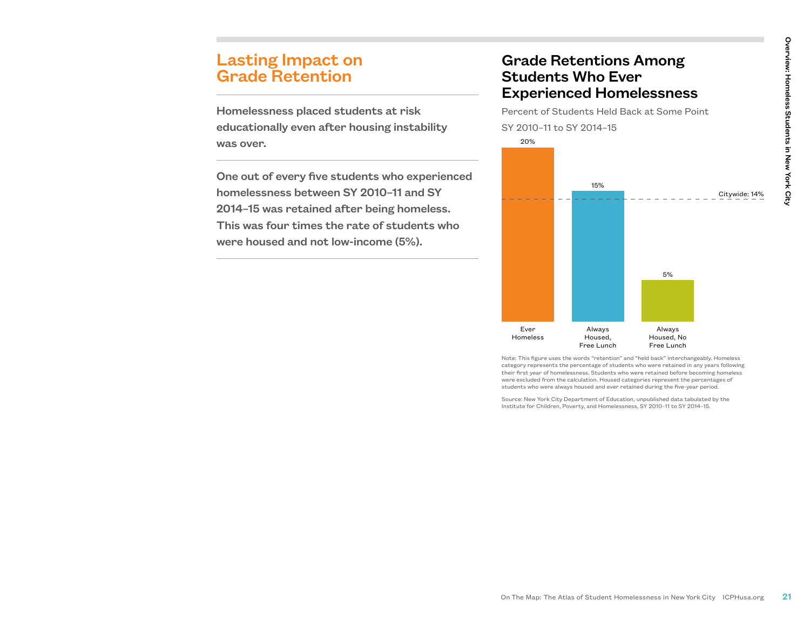# Lasting Impact on Grade Retention

Homelessness placed students at risk educationally even after housing instability was over.

One out of every five students who experienced homelessness between SY 2010–11 and SY 2014–15 was retained after being homeless. This was four times the rate of students who were housed and not low-income (5%).

### Grade Retentions Among Students Who Ever Experienced Homelessness

Percent of Students Held Back at Some Point SY 2010–11 to SY 2014–15 20%



Note: This figure uses the words "retention" and "held back" interchangeably. Homeless category represents the percentage of students who were retained in any years following their first year of homelessness. Students who were retained before becoming homeless were excluded from the calculation. Housed categories represent the percentages of students who were always housed and ever retained during the five-year period.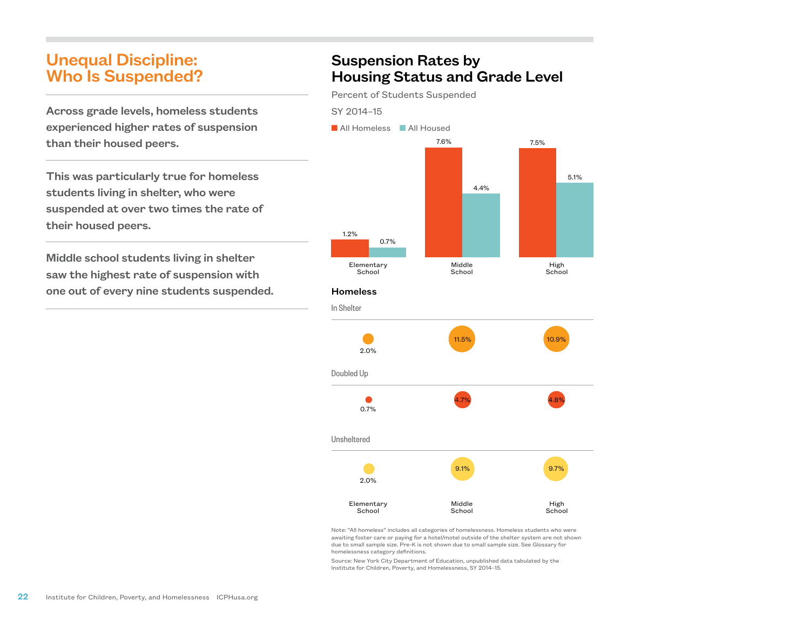# Unequal Discipline: Who Is Suspended?

Across grade levels, homeless students experienced higher rates of suspension than their housed peers.

This was particularly true for homeless students living in shelter, who were suspended at over two times the rate of their housed peers.

Middle school students living in shelter saw the highest rate of suspension with one out of every nine students suspended.

# Suspension Rates by Housing Status and Grade Level

Percent of Students Suspended

#### SY 2014–15



#### **Homeless**



Note: "All homeless" includes all categories of homelessness. Homeless students who were awaiting foster care or paying for a hotel/motel outside of the shelter system are not shown due to small sample size. Pre-K is not shown due to small sample size. See Glossary for homelessness category definitions.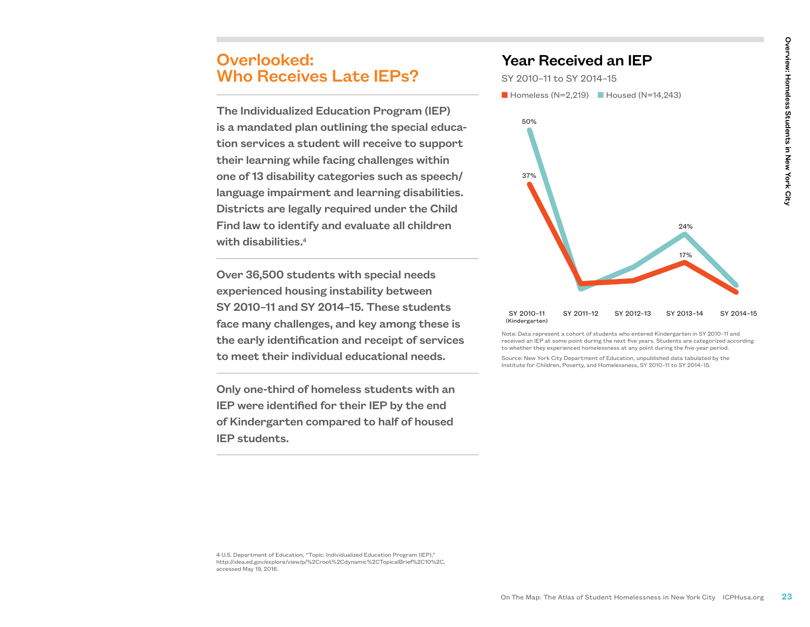### Overlooked: Who Receives Late IEPs?

The Individualized Education Program (IEP) is a mandated plan outlining the special education services a student will receive to support their learning while facing challenges within one of 13 disability categories such as speech/ language impairment and learning disabilities. Districts are legally required under the Child Find law to identify and evaluate all children with disabilities.<sup>4</sup>

Over 36,500 students with special needs experienced housing instability between SY 2010–11 and SY 2014–15. These students face many challenges, and key among these is the early identification and receipt of services to meet their individual educational needs.

Only one-third of homeless students with an IEP were identified for their IEP by the end of Kindergarten compared to half of housed IEP students.

### Year Received an IEP

SY 2010–11 to SY 2014–15  $\blacksquare$  Homeless (N=2,219)  $\blacksquare$  Housed (N=14,243)



Note: Data represent a cohort of students who entered Kindergarten in SY 2010–11 and received an IEP at some point during the next five years. Students are categorized according to whether they experienced homelessness at any point during the five-year period.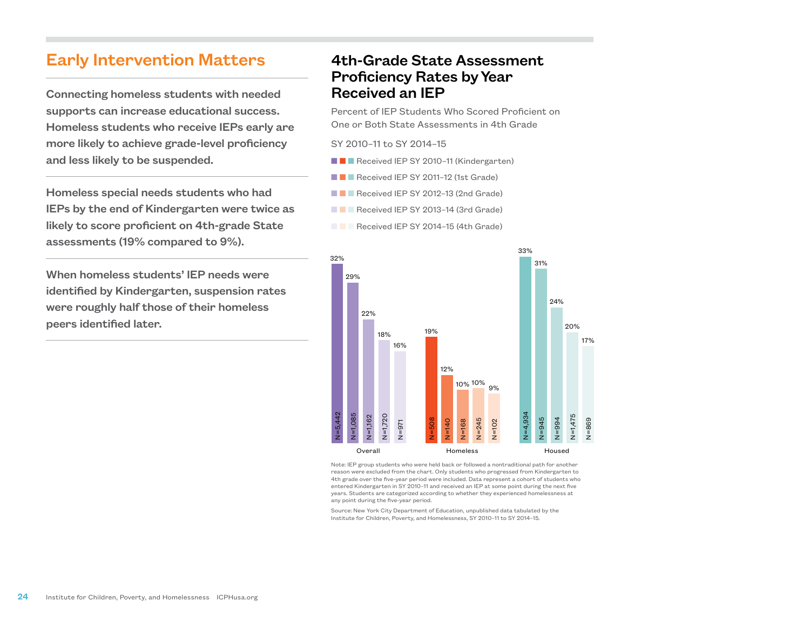# Early Intervention Matters

Connecting homeless students with needed supports can increase educational success. Homeless students who receive IEPs early are more likely to achieve grade-level proficiency and less likely to be suspended.

Homeless special needs students who had IEPs by the end of Kindergarten were twice as likely to score proficient on 4th-grade State assessments (19% compared to 9%).

When homeless students' IEP needs were identified by Kindergarten, suspension rates were roughly half those of their homeless peers identified later.

### 4th-Grade State Assessment Proficiency Rates by Year Received an IEP

Percent of IEP Students Who Scored Proficient on One or Both State Assessments in 4th Grade

#### SY 2010–11 to SY 2014–15

- **n n** Received IEP SY 2010–11 (Kindergarten)
- $\blacksquare$   $\blacksquare$  Received IEP SY 2011-12 (1st Grade)
- **n Received IEP SY 2012-13 (2nd Grade)**
- **N N** Received IEP SY 2013-14 (3rd Grade)
- **n Received IEP SY 2014-15 (4th Grade)**



Note: IEP group students who were held back or followed a nontraditional path for another reason were excluded from the chart. Only students who progressed from Kindergarten to 4th grade over the five-year period were included. Data represent a cohort of students who entered Kindergarten in SY 2010–11 and received an IEP at some point during the next five years. Students are categorized according to whether they experienced homelessness at any point during the five-year period.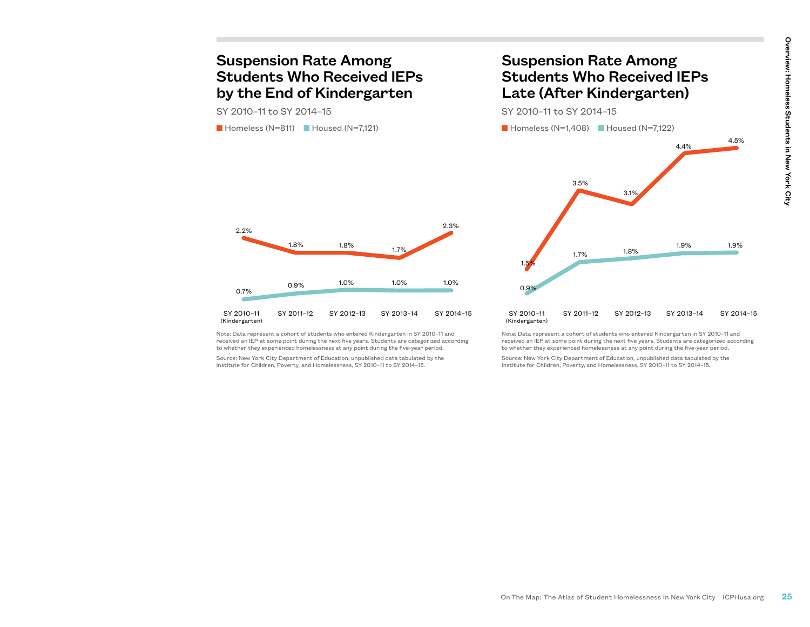### Suspension Rate Among Students Who Received IEPs by the End of Kindergarten

SY 2010–11 to SY 2014–15

2.2%

 $\blacksquare$  Homeless (N=811)  $\blacksquare$  Housed (N=7,121)

1.8%

0.9%

### Suspension Rate Among Students Who Received IEPs Late (After Kindergarten)

SY 2010–11 to SY 2014–15



Note: Data represent a cohort of students who entered Kindergarten in SY 2010–11 and SY 2010–11 (Kindergarten)

1.8%

1.0%

1.0%

2.3%

1.0%

received an IEP at some point during the next five years. Students are categorized according to whether they experienced homelessness at any point during the five-year period.

Source: New York City Department of Education, unpublished data tabulated by the Institute for Children, Poverty, and Homelessness, SY 2010–11 to SY 2014–15.

Note: Data represent a cohort of students who entered Kindergarten in SY 2010–11 and received an IEP at some point during the next five years. Students are categorized according to whether they experienced homelessness at any point during the five-year period.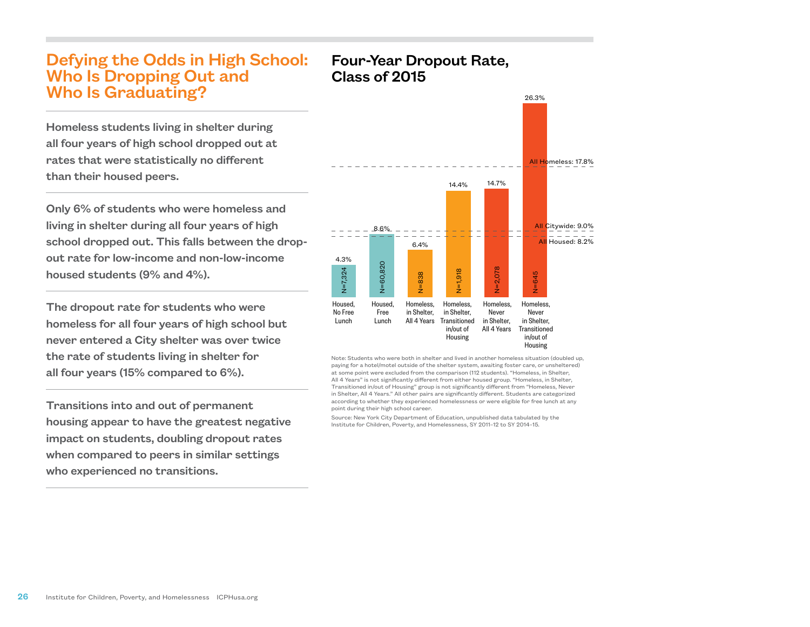# Defying the Odds in High School: Who Is Dropping Out and Who Is Graduating?

Homeless students living in shelter during all four years of high school dropped out at rates that were statistically no different than their housed peers.

Only 6% of students who were homeless and living in shelter during all four years of high school dropped out. This falls between the dropout rate for low-income and non-low-income housed students (9% and 4%).

The dropout rate for students who were homeless for all four years of high school but never entered a City shelter was over twice the rate of students living in shelter for all four years (15% compared to 6%).

Transitions into and out of permanent housing appear to have the greatest negative impact on students, doubling dropout rates when compared to peers in similar settings who experienced no transitions.

### Four-Year Dropout Rate, Class of 2015



Note: Students who were both in shelter and lived in another homeless situation (doubled up, paying for a hotel/motel outside of the shelter system, awaiting foster care, or unsheltered) at some point were excluded from the comparison (112 students). "Homeless, in Shelter, All 4 Years" is not significantly different from either housed group. "Homeless, in Shelter, Transitioned in/out of Housing" group is not significantly different from "Homeless, Never in Shelter, All 4 Years." All other pairs are significantly different. Students are categorized according to whether they experienced homelessness or were eligible for free lunch at any point during their high school career.